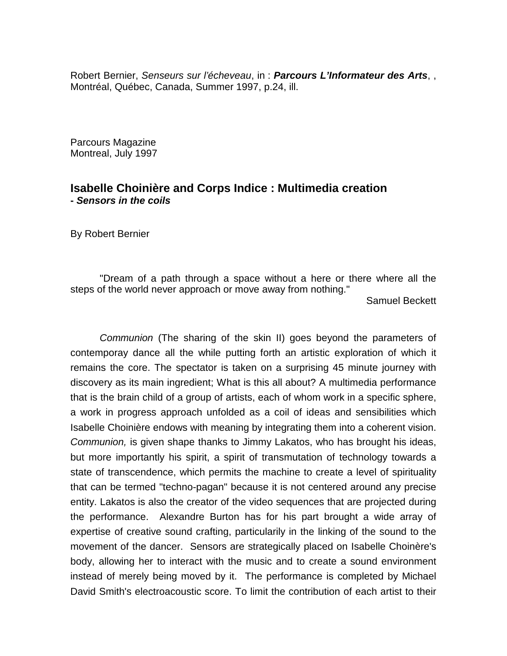Robert Bernier, *Senseurs sur l'écheveau*, in : *Parcours L'Informateur des Arts*, , Montréal, Québec, Canada, Summer 1997, p.24, ill.

Parcours Magazine Montreal, July 1997

## **Isabelle Choinière and Corps Indice : Multimedia creation -** *Sensors in the coils*

By Robert Bernier

"Dream of a path through a space without a here or there where all the steps of the world never approach or move away from nothing."

Samuel Beckett

*Communion* (The sharing of the skin II) goes beyond the parameters of contemporay dance all the while putting forth an artistic exploration of which it remains the core. The spectator is taken on a surprising 45 minute journey with discovery as its main ingredient; What is this all about? A multimedia performance that is the brain child of a group of artists, each of whom work in a specific sphere, a work in progress approach unfolded as a coil of ideas and sensibilities which Isabelle Choinière endows with meaning by integrating them into a coherent vision. *Communion,* is given shape thanks to Jimmy Lakatos, who has brought his ideas, but more importantly his spirit, a spirit of transmutation of technology towards a state of transcendence, which permits the machine to create a level of spirituality that can be termed "techno-pagan" because it is not centered around any precise entity. Lakatos is also the creator of the video sequences that are projected during the performance. Alexandre Burton has for his part brought a wide array of expertise of creative sound crafting, particularily in the linking of the sound to the movement of the dancer. Sensors are strategically placed on Isabelle Choinère's body, allowing her to interact with the music and to create a sound environment instead of merely being moved by it. The performance is completed by Michael David Smith's electroacoustic score. To limit the contribution of each artist to their